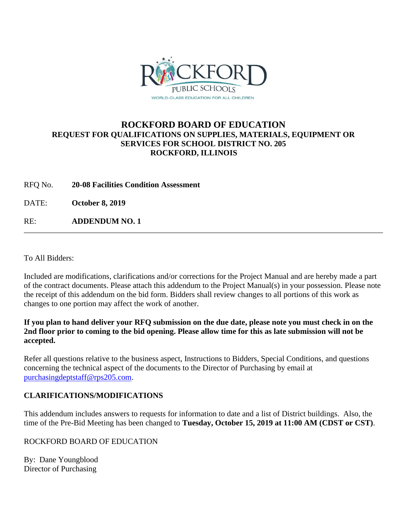

## **ROCKFORD BOARD OF EDUCATION REQUEST FOR QUALIFICATIONS ON SUPPLIES, MATERIALS, EQUIPMENT OR SERVICES FOR SCHOOL DISTRICT NO. 205 ROCKFORD, ILLINOIS**

RFQ No. **20-08 Facilities Condition Assessment**

DATE: **October 8, 2019**

RE: **ADDENDUM NO. 1**

To All Bidders:

Included are modifications, clarifications and/or corrections for the Project Manual and are hereby made a part of the contract documents. Please attach this addendum to the Project Manual(s) in your possession. Please note the receipt of this addendum on the bid form. Bidders shall review changes to all portions of this work as changes to one portion may affect the work of another.

#### **If you plan to hand deliver your RFQ submission on the due date, please note you must check in on the 2nd floor prior to coming to the bid opening. Please allow time for this as late submission will not be accepted.**

Refer all questions relative to the business aspect, Instructions to Bidders, Special Conditions, and questions concerning the technical aspect of the documents to the Director of Purchasing by email at [purchasingdeptstaff@rps205.com.](mailto:purchasingdeptstaff@rps205.com)

### **CLARIFICATIONS/MODIFICATIONS**

This addendum includes answers to requests for information to date and a list of District buildings. Also, the time of the Pre-Bid Meeting has been changed to **Tuesday, October 15, 2019 at 11:00 AM (CDST or CST)**.

ROCKFORD BOARD OF EDUCATION

By: Dane Youngblood Director of Purchasing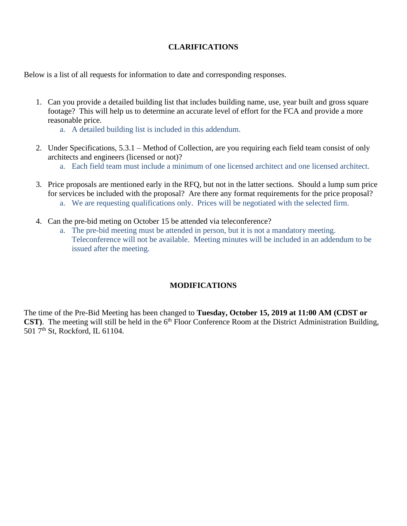## **CLARIFICATIONS**

Below is a list of all requests for information to date and corresponding responses.

- 1. Can you provide a detailed building list that includes building name, use, year built and gross square footage? This will help us to determine an accurate level of effort for the FCA and provide a more reasonable price.
	- a. A detailed building list is included in this addendum.
- 2. Under Specifications, 5.3.1 Method of Collection, are you requiring each field team consist of only architects and engineers (licensed or not)?
	- a. Each field team must include a minimum of one licensed architect and one licensed architect.
- 3. Price proposals are mentioned early in the RFQ, but not in the latter sections. Should a lump sum price for services be included with the proposal? Are there any format requirements for the price proposal?
	- a. We are requesting qualifications only. Prices will be negotiated with the selected firm.
- 4. Can the pre-bid meting on October 15 be attended via teleconference?
	- a. The pre-bid meeting must be attended in person, but it is not a mandatory meeting. Teleconference will not be available. Meeting minutes will be included in an addendum to be issued after the meeting.

### **MODIFICATIONS**

The time of the Pre-Bid Meeting has been changed to **Tuesday, October 15, 2019 at 11:00 AM (CDST or CST**). The meeting will still be held in the 6<sup>th</sup> Floor Conference Room at the District Administration Building, 501 7<sup>th</sup> St, Rockford, IL 61104.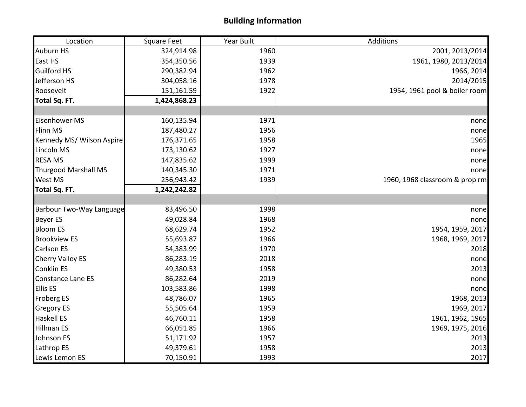# **Building Information**

| Location                    | <b>Square Feet</b> | Year Built | Additions                      |
|-----------------------------|--------------------|------------|--------------------------------|
| <b>Auburn HS</b>            | 324,914.98         | 1960       | 2001, 2013/2014                |
| East HS                     | 354,350.56         | 1939       | 1961, 1980, 2013/2014          |
| <b>Guilford HS</b>          | 290,382.94         | 1962       | 1966, 2014                     |
| Jefferson HS                | 304,058.16         | 1978       | 2014/2015                      |
| Roosevelt                   | 151,161.59         | 1922       | 1954, 1961 pool & boiler room  |
| Total Sq. FT.               | 1,424,868.23       |            |                                |
|                             |                    |            |                                |
| <b>Eisenhower MS</b>        | 160,135.94         | 1971       | none                           |
| Flinn MS                    | 187,480.27         | 1956       | nonel                          |
| Kennedy MS/ Wilson Aspire   | 176,371.65         | 1958       | 1965                           |
| Lincoln MS                  | 173,130.62         | 1927       | none                           |
| <b>RESA MS</b>              | 147,835.62         | 1999       | none                           |
| <b>Thurgood Marshall MS</b> | 140,345.30         | 1971       | none                           |
| West MS                     | 256,943.42         | 1939       | 1960, 1968 classroom & prop rm |
| Total Sq. FT.               | 1,242,242.82       |            |                                |
|                             |                    |            |                                |
| Barbour Two-Way Language    | 83,496.50          | 1998       | none                           |
| <b>Beyer ES</b>             | 49,028.84          | 1968       | none                           |
| <b>Bloom ES</b>             | 68,629.74          | 1952       | 1954, 1959, 2017               |
| <b>Brookview ES</b>         | 55,693.87          | 1966       | 1968, 1969, 2017               |
| <b>Carlson ES</b>           | 54,383.99          | 1970       | 2018                           |
| <b>Cherry Valley ES</b>     | 86,283.19          | 2018       | none                           |
| <b>Conklin ES</b>           | 49,380.53          | 1958       | 2013                           |
| Constance Lane ES           | 86,282.64          | 2019       | none                           |
| <b>Ellis ES</b>             | 103,583.86         | 1998       | none                           |
| <b>Froberg ES</b>           | 48,786.07          | 1965       | 1968, 2013                     |
| <b>Gregory ES</b>           | 55,505.64          | 1959       | 1969, 2017                     |
| <b>Haskell ES</b>           | 46,760.11          | 1958       | 1961, 1962, 1965               |
| <b>Hillman ES</b>           | 66,051.85          | 1966       | 1969, 1975, 2016               |
| Johnson ES                  | 51,171.92          | 1957       | 2013                           |
| Lathrop ES                  | 49,379.61          | 1958       | 2013                           |
| Lewis Lemon ES              | 70,150.91          | 1993       | 2017                           |